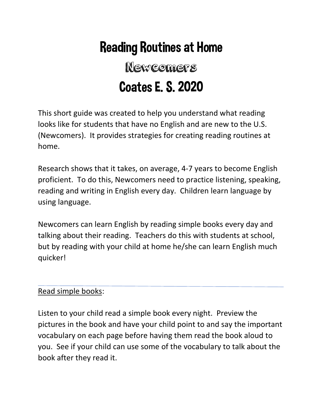# Reading Routines at Home

# Newcomers Coates E. S. 2020

This short guide was created to help you understand what reading looks like for students that have no English and are new to the U.S. (Newcomers). It provides strategies for creating reading routines at home.

Research shows that it takes, on average, 4-7 years to become English proficient. To do this, Newcomers need to practice listening, speaking, reading and writing in English every day. Children learn language by using language.

Newcomers can learn English by reading simple books every day and talking about their reading. Teachers do this with students at school, but by reading with your child at home he/she can learn English much quicker!

### Read simple books:

Listen to your child read a simple book every night. Preview the pictures in the book and have your child point to and say the important vocabulary on each page before having them read the book aloud to you. See if your child can use some of the vocabulary to talk about the book after they read it.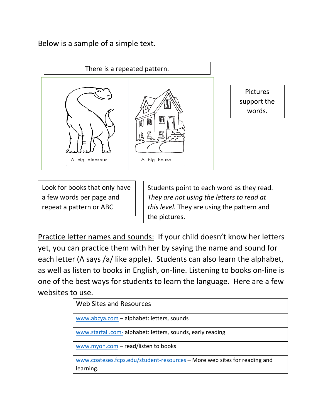Below is a sample of a simple text.



Pictures support the words.

Look for books that only have a few words per page and repeat a pattern or ABC

Students point to each word as they read. *They are not using the letters to read at this level*. They are using the pattern and the pictures.

Practice letter names and sounds: If your child doesn't know her letters yet, you can practice them with her by saying the name and sound for each letter (A says /a/ like apple). Students can also learn the alphabet, as well as listen to books in English, on-line. Listening to books on-line is one of the best ways for students to learn the language. Here are a few websites to use.

| Web Sites and Resources                                                  |
|--------------------------------------------------------------------------|
| www.abcya.com - alphabet: letters, sounds                                |
| www.starfall.com-alphabet: letters, sounds, early reading                |
| www.myon.com - read/listen to books                                      |
| www.coateses.fcps.edu/student-resources - More web sites for reading and |
| learning.                                                                |